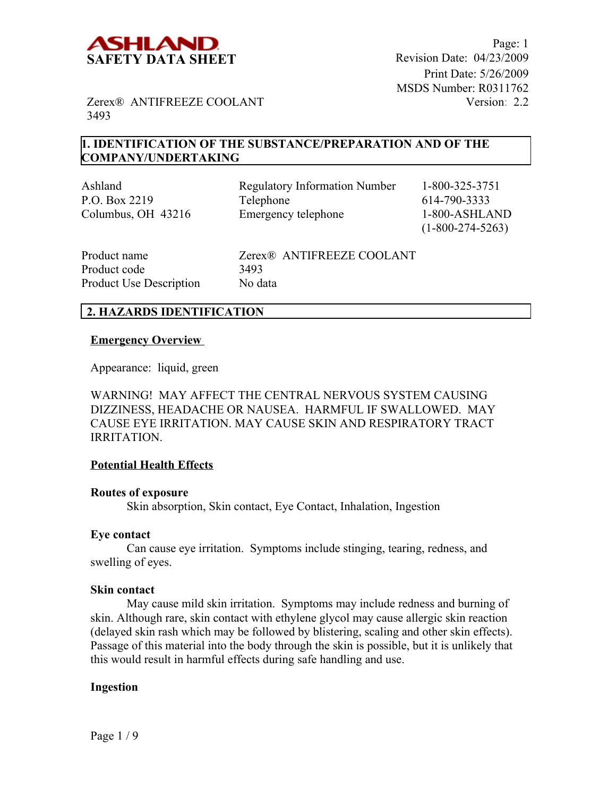

Page: 1 Print Date: 5/26/2009 MSDS Number: R0311762 Version: 2.2

Zerex® ANTIFREEZE COOLANT 3493

## **1. IDENTIFICATION OF THE SUBSTANCE/PREPARATION AND OF THE COMPANY/UNDERTAKING**

Ashland Regulatory Information Number 1-800-325-3751 P.O. Box 2219 Telephone 614-790-3333 Columbus, OH 43216 Emergency telephone 1-800-ASHLAND

(1-800-274-5263)

| Product name                   | Zerex <sup>®</sup> ANTIFREEZE COOLANT |
|--------------------------------|---------------------------------------|
| Product code                   | 3493                                  |
| <b>Product Use Description</b> | No data                               |

## **2. HAZARDS IDENTIFICATION**

#### **Emergency Overview**

Appearance:liquid, green

WARNING! MAY AFFECT THE CENTRAL NERVOUS SYSTEM CAUSING DIZZINESS, HEADACHE OR NAUSEA. HARMFUL IF SWALLOWED. MAY CAUSE EYE IRRITATION. MAY CAUSE SKIN AND RESPIRATORY TRACT IRRITATION.

### **Potential Health Effects**

#### **Routes of exposure**

Skin absorption, Skin contact, Eye Contact, Inhalation, Ingestion

#### **Eye contact**

Can cause eye irritation. Symptoms include stinging, tearing, redness, and swelling of eyes.

#### **Skin contact**

May cause mild skin irritation. Symptoms may include redness and burning of skin. Although rare, skin contact with ethylene glycol may cause allergic skin reaction (delayed skin rash which may be followed by blistering, scaling and other skin effects). Passage of this material into the body through the skin is possible, but it is unlikely that this would result in harmful effects during safe handling and use.

### **Ingestion**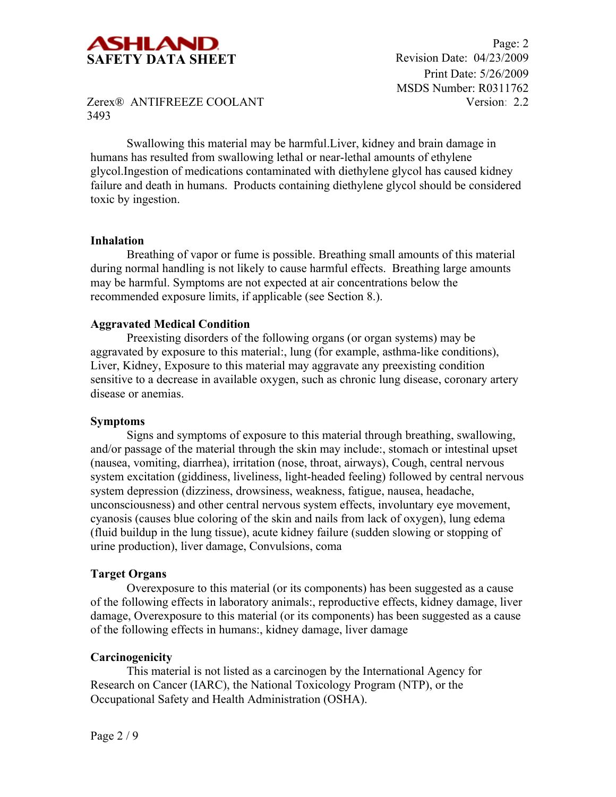

Swallowing this material may be harmful.Liver, kidney and brain damage in humans has resulted from swallowing lethal or near-lethal amounts of ethylene glycol.Ingestion of medications contaminated with diethylene glycol has caused kidney failure and death in humans. Products containing diethylene glycol should be considered toxic by ingestion.

#### **Inhalation**

Breathing of vapor or fume is possible. Breathing small amounts of this material during normal handling is not likely to cause harmful effects. Breathing large amounts may be harmful. Symptoms are not expected at air concentrations below the recommended exposure limits, if applicable (see Section 8.).

### **Aggravated Medical Condition**

Preexisting disorders of the following organs (or organ systems) may be aggravated by exposure to this material:, lung (for example, asthma-like conditions), Liver, Kidney, Exposure to this material may aggravate any preexisting condition sensitive to a decrease in available oxygen, such as chronic lung disease, coronary artery disease or anemias.

#### **Symptoms**

Signs and symptoms of exposure to this material through breathing, swallowing, and/or passage of the material through the skin may include:, stomach or intestinal upset (nausea, vomiting, diarrhea), irritation (nose, throat, airways), Cough, central nervous system excitation (giddiness, liveliness, light-headed feeling) followed by central nervous system depression (dizziness, drowsiness, weakness, fatigue, nausea, headache, unconsciousness) and other central nervous system effects, involuntary eye movement, cyanosis (causes blue coloring of the skin and nails from lack of oxygen), lung edema (fluid buildup in the lung tissue), acute kidney failure (sudden slowing or stopping of urine production), liver damage, Convulsions, coma

### **Target Organs**

Overexposure to this material (or its components) has been suggested as a cause of the following effects in laboratory animals:, reproductive effects, kidney damage, liver damage, Overexposure to this material (or its components) has been suggested as a cause of the following effects in humans:, kidney damage, liver damage

### **Carcinogenicity**

This material is not listed as a carcinogen by the International Agency for Research on Cancer (IARC), the National Toxicology Program (NTP), or the Occupational Safety and Health Administration (OSHA).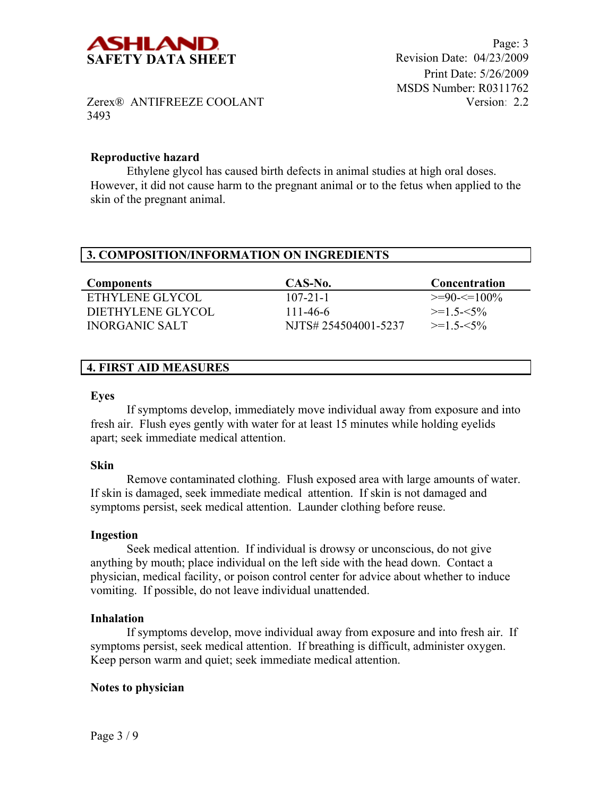

## **Reproductive hazard**

Ethylene glycol has caused birth defects in animal studies at high oral doses. However, it did not cause harm to the pregnant animal or to the fetus when applied to the skin of the pregnant animal.

| 3. COMPOSITION/INFORMATION ON INGREDIENTS |                     |               |  |
|-------------------------------------------|---------------------|---------------|--|
|                                           |                     |               |  |
| <b>Components</b>                         | CAS-No.             | Concentration |  |
| ETHYLENE GLYCOL                           | $107 - 21 - 1$      | $>=90=<100\%$ |  |
| DIETHYLENE GLYCOL                         | 111-46-6            | $>=1.5 - 5\%$ |  |
| <b>INORGANIC SALT</b>                     | NJTS#254504001-5237 | $>=1.5 - 5\%$ |  |

## **4. FIRST AID MEASURES**

#### **Eyes**

If symptoms develop, immediately move individual away from exposure and into fresh air. Flush eyes gently with water for at least 15 minutes while holding eyelids apart; seek immediate medical attention.

#### **Skin**

Remove contaminated clothing. Flush exposed area with large amounts of water. If skin is damaged, seek immediate medical attention. If skin is not damaged and symptoms persist, seek medical attention. Launder clothing before reuse.

#### **Ingestion**

Seek medical attention. If individual is drowsy or unconscious, do not give anything by mouth; place individual on the left side with the head down. Contact a physician, medical facility, or poison control center for advice about whether to induce vomiting. If possible, do not leave individual unattended.

### **Inhalation**

If symptoms develop, move individual away from exposure and into fresh air. If symptoms persist, seek medical attention. If breathing is difficult, administer oxygen. Keep person warm and quiet; seek immediate medical attention.

### **Notes to physician**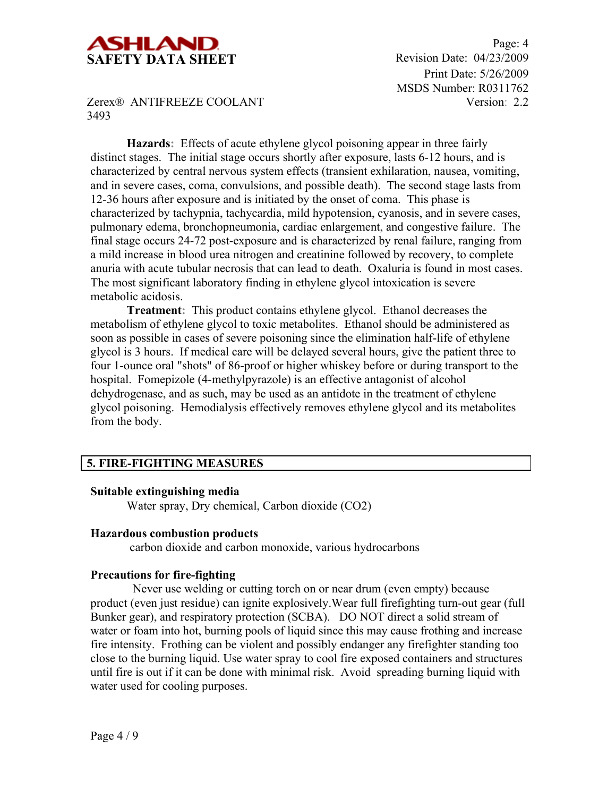

Page: 4 Print Date: 5/26/2009 MSDS Number: R0311762 Version: 2.2

Zerex® ANTIFREEZE COOLANT 3493

**Hazards:** Effects of acute ethylene glycol poisoning appear in three fairly distinct stages. The initial stage occurs shortly after exposure, lasts 6-12 hours, and is characterized by central nervous system effects (transient exhilaration, nausea, vomiting, and in severe cases, coma, convulsions, and possible death). The second stage lasts from 12-36 hours after exposure and is initiated by the onset of coma. This phase is characterized by tachypnia, tachycardia, mild hypotension, cyanosis, and in severe cases, pulmonary edema, bronchopneumonia, cardiac enlargement, and congestive failure. The final stage occurs 24-72 post-exposure and is characterized by renal failure, ranging from a mild increase in blood urea nitrogen and creatinine followed by recovery, to complete anuria with acute tubular necrosis that can lead to death. Oxaluria is found in most cases. The most significant laboratory finding in ethylene glycol intoxication is severe metabolic acidosis.

**Treatment:** This product contains ethylene glycol. Ethanol decreases the metabolism of ethylene glycol to toxic metabolites. Ethanol should be administered as soon as possible in cases of severe poisoning since the elimination half-life of ethylene glycol is 3 hours. If medical care will be delayed several hours, give the patient three to four 1-ounce oral "shots" of 86-proof or higher whiskey before or during transport to the hospital. Fomepizole (4-methylpyrazole) is an effective antagonist of alcohol dehydrogenase, and as such, may be used as an antidote in the treatment of ethylene glycol poisoning. Hemodialysis effectively removes ethylene glycol and its metabolites from the body.

## **5. FIRE-FIGHTING MEASURES**

#### **Suitable extinguishing media**

Water spray, Dry chemical, Carbon dioxide (CO2)

#### **Hazardous combustion products**

carbon dioxide and carbon monoxide, various hydrocarbons

### **Precautions for fire-fighting**

 Never use welding or cutting torch on or near drum (even empty) because product (even just residue) can ignite explosively.Wear full firefighting turn-out gear (full Bunker gear), and respiratory protection (SCBA). DO NOT direct a solid stream of water or foam into hot, burning pools of liquid since this may cause frothing and increase fire intensity. Frothing can be violent and possibly endanger any firefighter standing too close to the burning liquid. Use water spray to cool fire exposed containers and structures until fire is out if it can be done with minimal risk. Avoid spreading burning liquid with water used for cooling purposes.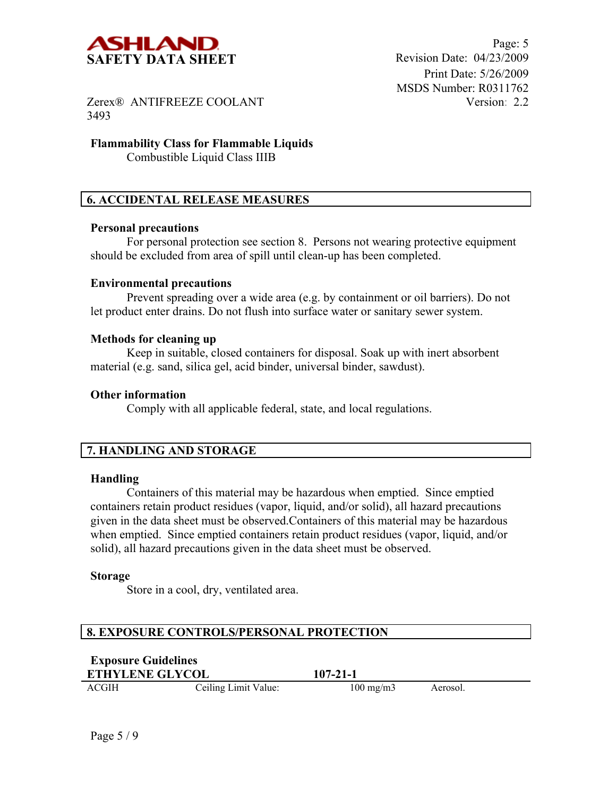

### **Flammability Class for Flammable Liquids** Combustible Liquid Class IIIB

## **6. ACCIDENTAL RELEASE MEASURES**

#### **Personal precautions**

For personal protection see section 8.Persons not wearing protective equipment should be excluded from area of spill until clean-up has been completed.

#### **Environmental precautions**

Prevent spreading over a wide area (e.g. by containment or oil barriers). Do not let product enter drains. Do not flush into surface water or sanitary sewer system.

### **Methods for cleaning up**

Keep in suitable, closed containers for disposal. Soak up with inert absorbent material (e.g. sand, silica gel, acid binder, universal binder, sawdust).

#### **Other information**

Comply with all applicable federal, state, and local regulations.

# **7. HANDLING AND STORAGE**

### **Handling**

Containers of this material may be hazardous when emptied. Since emptied containers retain product residues (vapor, liquid, and/or solid), all hazard precautions given in the data sheet must be observed.Containers of this material may be hazardous when emptied. Since emptied containers retain product residues (vapor, liquid, and/or solid), all hazard precautions given in the data sheet must be observed.

#### **Storage**

Store in a cool, dry, ventilated area.

### **8. EXPOSURE CONTROLS/PERSONAL PROTECTION**

| <b>Exposure Guidelines</b> |
|----------------------------|
| <b>ETHVLENE CLVCOL</b>     |

**ETHYLENE GLYCOL 107-21-1**

ACGIH Ceiling Limit Value: 100 mg/m3 Aerosol.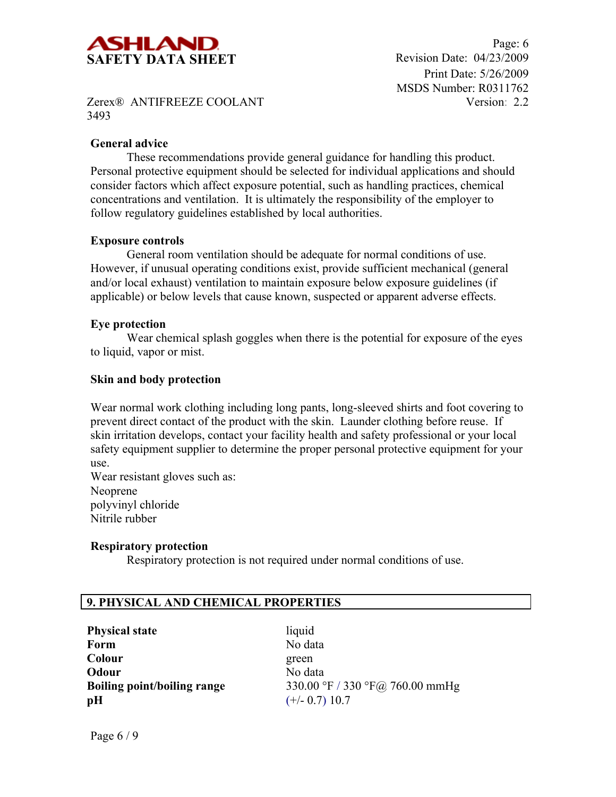

Page: 6 Print Date: 5/26/2009 MSDS Number: R0311762 Version: 2.2

Zerex® ANTIFREEZE COOLANT 3493

### **General advice**

These recommendations provide general guidance for handling this product. Personal protective equipment should be selected for individual applications and should consider factors which affect exposure potential, such as handling practices, chemical concentrations and ventilation. It is ultimately the responsibility of the employer to follow regulatory guidelines established by local authorities.

### **Exposure controls**

General room ventilation should be adequate for normal conditions of use. However, if unusual operating conditions exist, provide sufficient mechanical (general and/or local exhaust) ventilation to maintain exposure below exposure guidelines (if applicable) or below levels that cause known, suspected or apparent adverse effects.

### **Eye protection**

Wear chemical splash goggles when there is the potential for exposure of the eyes to liquid, vapor or mist.

### **Skin and body protection**

Wear normal work clothing including long pants, long-sleeved shirts and foot covering to prevent direct contact of the product with the skin. Launder clothing before reuse. If skin irritation develops, contact your facility health and safety professional or your local safety equipment supplier to determine the proper personal protective equipment for your use.

Wear resistant gloves such as: Neoprene polyvinyl chloride Nitrile rubber

### **Respiratory protection**

Respiratory protection is not required under normal conditions of use.

## **9. PHYSICAL AND CHEMICAL PROPERTIES**

**Physical state** liquid **Form** No data **Colour** green **Odour** No data **pH**  $(+/- 0.7) 10.7$ 

**Boiling point/boiling range** 330.00 °F / 330 °F@ 760.00 mmHg

Page 6 / 9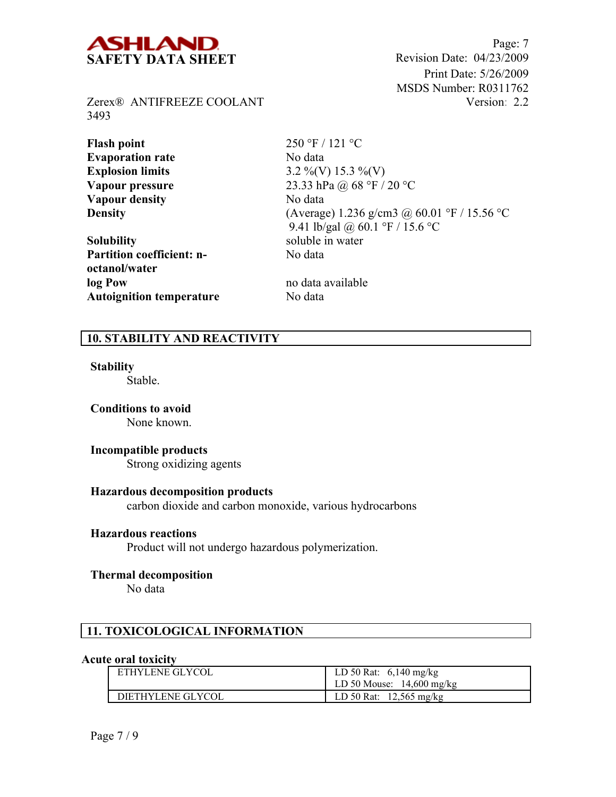

Page: 7 Print Date: 5/26/2009 MSDS Number: R0311762 Version: 2.2

Zerex® ANTIFREEZE COOLANT 3493

**Flash point** 250 °F / 121 °C **Evaporation rate** No data **Vapour density** No data

**Solubility** soluble in water **Partition coefficient: noctanol/water log Pow** no data available **Autoignition temperature** No data

**Explosion limits** 3.2 %(V) 15.3 %(V) **Vapour pressure** 23.33 hPa @ 68 °F / 20 °C **Density** (Average) 1.236 g/cm3 @ 60.01 °F / 15.56 °C 9.41 lb/gal @ 60.1 °F / 15.6 °C No data

# **10. STABILITY AND REACTIVITY**

#### **Stability**

Stable.

**Conditions to avoid** None known.

### **Incompatible products**

Strong oxidizing agents

#### **Hazardous decomposition products**

carbon dioxide and carbon monoxide, various hydrocarbons

#### **Hazardous reactions**

Product will not undergo hazardous polymerization.

#### **Thermal decomposition**

No data

## **11. TOXICOLOGICAL INFORMATION**

#### **Acute oral toxicity**

| ETHYLENE GLYCOL   | LD 50 Rat: $6,140 \text{ mg/kg}$<br>LD 50 Mouse: $14,600$ mg/kg |
|-------------------|-----------------------------------------------------------------|
| DIETHYLENE GLYCOL | LD 50 Rat: $12,565$ mg/kg                                       |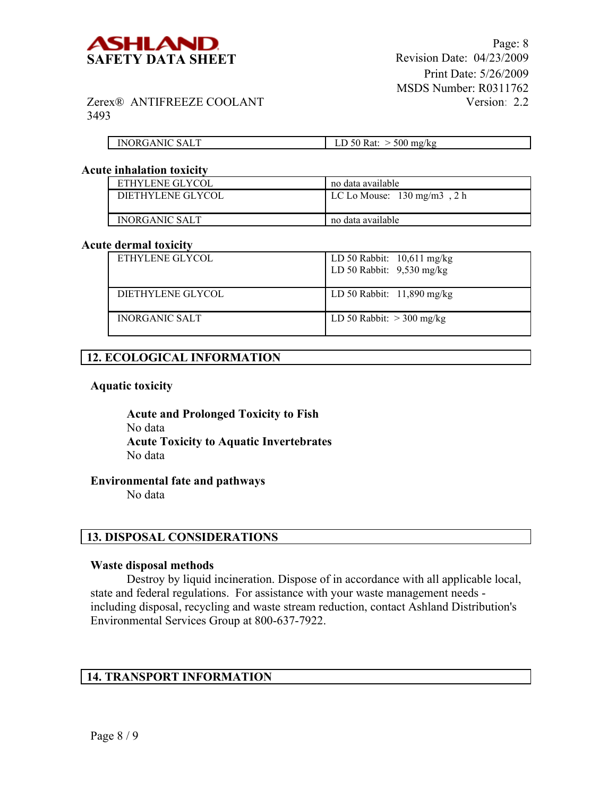

| <b>INORGANIC SALT</b> | $\cdot$ D 50 Rat: $\sim$<br>$>$ 500 mg/kg |
|-----------------------|-------------------------------------------|

#### **Acute inhalation toxicity**

| ETHYLENE GLYCOL       | no data available                      |  |
|-----------------------|----------------------------------------|--|
| DIETHYLENE GLYCOL     | LC Lo Mouse: $130 \text{ mg/m}$ 3, 2 h |  |
| <b>INORGANIC SALT</b> | no data available                      |  |

#### **Acute dermal toxicity**

| ETHYLENE GLYCOL       | LD 50 Rabbit: $10,611$ mg/kg<br>LD 50 Rabbit: $9,530$ mg/kg |
|-----------------------|-------------------------------------------------------------|
| DIETHYLENE GLYCOL     | LD 50 Rabbit: $11,890$ mg/kg                                |
| <b>INORGANIC SALT</b> | LD 50 Rabbit: $>$ 300 mg/kg                                 |

## **12. ECOLOGICAL INFORMATION**

#### **Aquatic toxicity**

**Acute and Prolonged Toxicity to Fish** No data **Acute Toxicity to Aquatic Invertebrates** No data

## **Environmental fate and pathways**

No data

### **13. DISPOSAL CONSIDERATIONS**

#### **Waste disposal methods**

Destroy by liquid incineration. Dispose of in accordance with all applicable local, state and federal regulations. For assistance with your waste management needs including disposal, recycling and waste stream reduction, contact Ashland Distribution's Environmental Services Group at 800-637-7922.

# **14. TRANSPORT INFORMATION**